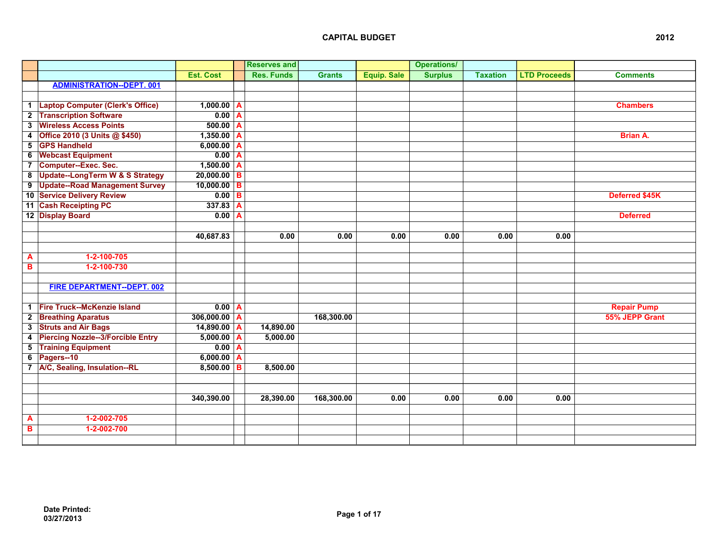|                         |                                          |                       |                | <b>Reserves and</b> |               |                    | <b>Operations/</b> |                 |                     |                    |
|-------------------------|------------------------------------------|-----------------------|----------------|---------------------|---------------|--------------------|--------------------|-----------------|---------------------|--------------------|
|                         |                                          | <b>Est. Cost</b>      |                | <b>Res. Funds</b>   | <b>Grants</b> | <b>Equip. Sale</b> | <b>Surplus</b>     | <b>Taxation</b> | <b>LTD Proceeds</b> | <b>Comments</b>    |
|                         | <b>ADMINISTRATION--DEPT. 001</b>         |                       |                |                     |               |                    |                    |                 |                     |                    |
|                         |                                          |                       |                |                     |               |                    |                    |                 |                     |                    |
|                         | 1 Laptop Computer (Clerk's Office)       | $1,000.00$ A          |                |                     |               |                    |                    |                 |                     | <b>Chambers</b>    |
|                         | 2 Transcription Software                 | $0.00$ A              |                |                     |               |                    |                    |                 |                     |                    |
| $\overline{\mathbf{3}}$ | <b>Wireless Access Points</b>            | $\overline{500.00}$ A |                |                     |               |                    |                    |                 |                     |                    |
| 4                       | Office 2010 (3 Units @ \$450)            | $1,350.00$ A          |                |                     |               |                    |                    |                 |                     | <b>Brian A.</b>    |
| $5\overline{5}$         | <b>GPS Handheld</b>                      | $6,000.00$ A          |                |                     |               |                    |                    |                 |                     |                    |
| 6                       | <b>Webcast Equipment</b>                 | $0.00 \mid A$         |                |                     |               |                    |                    |                 |                     |                    |
|                         | 7 Computer--Exec. Sec.                   | $1,500.00$ A          |                |                     |               |                    |                    |                 |                     |                    |
|                         | 8 Update--LongTerm W & S Strategy        | $20,000.00$ B         |                |                     |               |                    |                    |                 |                     |                    |
|                         | 9 Update--Road Management Survey         | $10,000.00$ B         |                |                     |               |                    |                    |                 |                     |                    |
|                         | 10 Service Delivery Review               | $0.00$ B              |                |                     |               |                    |                    |                 |                     | Deferred \$45K     |
|                         | 11 Cash Receipting PC                    | 337.83                | $\overline{A}$ |                     |               |                    |                    |                 |                     |                    |
|                         | 12 Display Board                         | $0.00$ A              |                |                     |               |                    |                    |                 |                     | <b>Deferred</b>    |
|                         |                                          |                       |                |                     |               |                    |                    |                 |                     |                    |
|                         |                                          | 40,687.83             |                | 0.00                | 0.00          | 0.00               | 0.00               | 0.00            | 0.00                |                    |
|                         |                                          |                       |                |                     |               |                    |                    |                 |                     |                    |
| A                       | $1-2-100-705$                            |                       |                |                     |               |                    |                    |                 |                     |                    |
| B                       | 1-2-100-730                              |                       |                |                     |               |                    |                    |                 |                     |                    |
|                         |                                          |                       |                |                     |               |                    |                    |                 |                     |                    |
|                         | FIRE DEPARTMENT--DEPT. 002               |                       |                |                     |               |                    |                    |                 |                     |                    |
|                         |                                          |                       |                |                     |               |                    |                    |                 |                     |                    |
|                         | 1 Fire Truck--McKenzie Island            | $0.00$ A              |                |                     |               |                    |                    |                 |                     | <b>Repair Pump</b> |
|                         | 2 Breathing Aparatus                     | $306,000.00$ A        |                |                     | 168,300.00    |                    |                    |                 |                     | 55% JEPP Grant     |
|                         | 3 Struts and Air Bags                    | $14,890.00$ A         |                | 14,890.00           |               |                    |                    |                 |                     |                    |
| 4                       | <b>Piercing Nozzle--3/Forcible Entry</b> | $5,000.00$ A          |                | 5,000.00            |               |                    |                    |                 |                     |                    |
|                         | <b>5</b> Training Equipment              | 0.00 <sub>A</sub>     |                |                     |               |                    |                    |                 |                     |                    |
| 6                       | Pagers--10                               | $6,000.00$ A          |                |                     |               |                    |                    |                 |                     |                    |
|                         | 7 A/C, Sealing, Insulation--RL           | $8,500.00$ B          |                | 8,500.00            |               |                    |                    |                 |                     |                    |
|                         |                                          |                       |                |                     |               |                    |                    |                 |                     |                    |
|                         |                                          |                       |                |                     |               |                    |                    |                 |                     |                    |
|                         |                                          | 340,390.00            |                | 28,390.00           | 168,300.00    | 0.00               | 0.00               | 0.00            | 0.00                |                    |
|                         |                                          |                       |                |                     |               |                    |                    |                 |                     |                    |
| A                       | $1 - 2 - 002 - 705$                      |                       |                |                     |               |                    |                    |                 |                     |                    |
| в                       | 1-2-002-700                              |                       |                |                     |               |                    |                    |                 |                     |                    |
|                         |                                          |                       |                |                     |               |                    |                    |                 |                     |                    |
|                         |                                          |                       |                |                     |               |                    |                    |                 |                     |                    |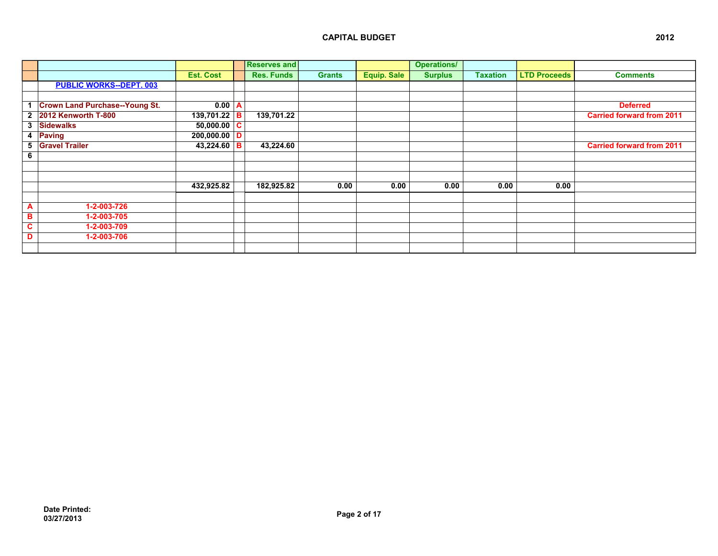|                |                                       |                  |          | <b>Reserves and</b> |               |             | <b>Operations/</b> |                 |                     |                                  |
|----------------|---------------------------------------|------------------|----------|---------------------|---------------|-------------|--------------------|-----------------|---------------------|----------------------------------|
|                |                                       | <b>Est. Cost</b> |          | <b>Res. Funds</b>   | <b>Grants</b> | Equip. Sale | <b>Surplus</b>     | <b>Taxation</b> | <b>LTD Proceeds</b> | <b>Comments</b>                  |
|                | <b>PUBLIC WORKS--DEPT. 003</b>        |                  |          |                     |               |             |                    |                 |                     |                                  |
|                |                                       |                  |          |                     |               |             |                    |                 |                     |                                  |
|                | <b>Crown Land Purchase--Young St.</b> | $0.00 \mid A$    |          |                     |               |             |                    |                 |                     | <b>Deferred</b>                  |
|                | 2 2012 Kenworth T-800                 | $139,701.22$ B   |          | 139,701.22          |               |             |                    |                 |                     | <b>Carried forward from 2011</b> |
|                | 3 Sidewalks                           | 50,000.00        | <b>C</b> |                     |               |             |                    |                 |                     |                                  |
|                | 4 Paving                              | 200,000.00       | D        |                     |               |             |                    |                 |                     |                                  |
|                | 5 Gravel Trailer                      | $43,224.60$ B    |          | 43,224.60           |               |             |                    |                 |                     | <b>Carried forward from 2011</b> |
| 6              |                                       |                  |          |                     |               |             |                    |                 |                     |                                  |
|                |                                       |                  |          |                     |               |             |                    |                 |                     |                                  |
|                |                                       |                  |          |                     |               |             |                    |                 |                     |                                  |
|                |                                       | 432,925.82       |          | 182,925.82          | 0.00          | 0.00        | 0.00               | 0.00            | 0.00                |                                  |
|                |                                       |                  |          |                     |               |             |                    |                 |                     |                                  |
| $\overline{A}$ | 1-2-003-726                           |                  |          |                     |               |             |                    |                 |                     |                                  |
| в              | 1-2-003-705                           |                  |          |                     |               |             |                    |                 |                     |                                  |
| C.             | 1-2-003-709                           |                  |          |                     |               |             |                    |                 |                     |                                  |
| D              | 1-2-003-706                           |                  |          |                     |               |             |                    |                 |                     |                                  |
|                |                                       |                  |          |                     |               |             |                    |                 |                     |                                  |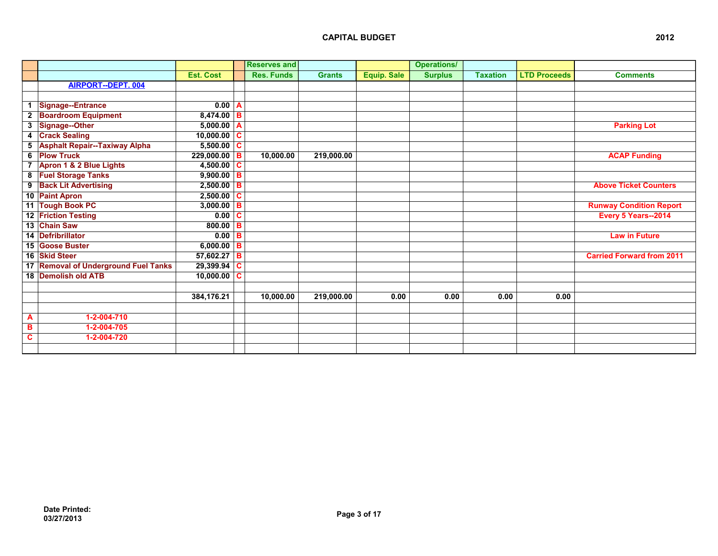|                |                                      |                  |   | <b>Reserves and</b> |               |                    | <b>Operations/</b> |                 |                     |                                  |
|----------------|--------------------------------------|------------------|---|---------------------|---------------|--------------------|--------------------|-----------------|---------------------|----------------------------------|
|                |                                      | <b>Est. Cost</b> |   | <b>Res. Funds</b>   | <b>Grants</b> | <b>Equip. Sale</b> | <b>Surplus</b>     | <b>Taxation</b> | <b>LTD Proceeds</b> | <b>Comments</b>                  |
|                | <b>AIRPORT--DEPT. 004</b>            |                  |   |                     |               |                    |                    |                 |                     |                                  |
|                |                                      |                  |   |                     |               |                    |                    |                 |                     |                                  |
| -1             | Signage--Entrance                    | $0.00$ A         |   |                     |               |                    |                    |                 |                     |                                  |
| $\mathbf{2}$   | <b>Boardroom Equipment</b>           | $8,474.00$ B     |   |                     |               |                    |                    |                 |                     |                                  |
| 3              | Signage--Other                       | 5,000.00   A     |   |                     |               |                    |                    |                 |                     | <b>Parking Lot</b>               |
| 4              | <b>Crack Sealing</b>                 | $10,000.00$ C    |   |                     |               |                    |                    |                 |                     |                                  |
| 5              | <b>Asphalt Repair--Taxiway Alpha</b> | $5,500.00$ C     |   |                     |               |                    |                    |                 |                     |                                  |
| 6              | <b>Plow Truck</b>                    | $229,000.00$ B   |   | 10,000.00           | 219,000.00    |                    |                    |                 |                     | <b>ACAP Funding</b>              |
| $\overline{7}$ | Apron 1 & 2 Blue Lights              | $4,500.00$ C     |   |                     |               |                    |                    |                 |                     |                                  |
|                | 8 Fuel Storage Tanks                 | $9,900.00$ B     |   |                     |               |                    |                    |                 |                     |                                  |
|                | 9 Back Lit Advertising               | $2,500.00$ B     |   |                     |               |                    |                    |                 |                     | <b>Above Ticket Counters</b>     |
|                | 10 Paint Apron                       | $2,500.00$ C     |   |                     |               |                    |                    |                 |                     |                                  |
|                | 11 Tough Book PC                     | $3,000.00$ B     |   |                     |               |                    |                    |                 |                     | <b>Runway Condition Report</b>   |
|                | 12 Friction Testing                  | 0.00 C           |   |                     |               |                    |                    |                 |                     | Every 5 Years--2014              |
|                | 13 Chain Saw                         | $800.00$ B       |   |                     |               |                    |                    |                 |                     |                                  |
|                | 14 Defribrillator                    | 0.00             | B |                     |               |                    |                    |                 |                     | <b>Law in Future</b>             |
|                | 15 Goose Buster                      | $6,000.00$ B     |   |                     |               |                    |                    |                 |                     |                                  |
|                | 16 Skid Steer                        | $57,602.27$ B    |   |                     |               |                    |                    |                 |                     | <b>Carried Forward from 2011</b> |
|                | 17 Removal of Underground Fuel Tanks | 29,399.94        | C |                     |               |                    |                    |                 |                     |                                  |
|                | 18 Demolish old ATB                  | $10,000.00$ C    |   |                     |               |                    |                    |                 |                     |                                  |
|                |                                      |                  |   |                     |               |                    |                    |                 |                     |                                  |
|                |                                      | 384,176.21       |   | 10,000.00           | 219,000.00    | 0.00               | 0.00               | 0.00            | 0.00                |                                  |
|                |                                      |                  |   |                     |               |                    |                    |                 |                     |                                  |
| A              | 1-2-004-710                          |                  |   |                     |               |                    |                    |                 |                     |                                  |
| в              | 1-2-004-705                          |                  |   |                     |               |                    |                    |                 |                     |                                  |
| C              | 1-2-004-720                          |                  |   |                     |               |                    |                    |                 |                     |                                  |
|                |                                      |                  |   |                     |               |                    |                    |                 |                     |                                  |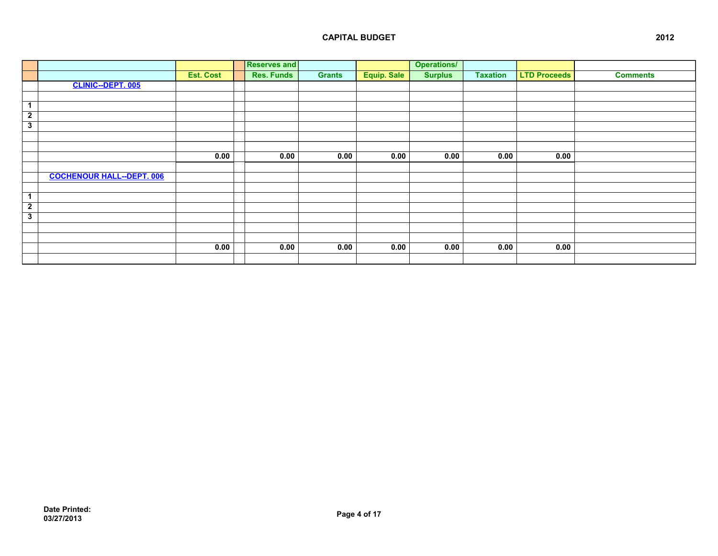|                         |                                  |                  | <b>Reserves and</b> |               |             | <b>Operations/</b> |                 |                     |                 |
|-------------------------|----------------------------------|------------------|---------------------|---------------|-------------|--------------------|-----------------|---------------------|-----------------|
|                         |                                  | <b>Est. Cost</b> | <b>Res. Funds</b>   | <b>Grants</b> | Equip. Sale | <b>Surplus</b>     | <b>Taxation</b> | <b>LTD Proceeds</b> | <b>Comments</b> |
|                         | <b>CLINIC--DEPT. 005</b>         |                  |                     |               |             |                    |                 |                     |                 |
|                         |                                  |                  |                     |               |             |                    |                 |                     |                 |
| $\mathbf{1}$            |                                  |                  |                     |               |             |                    |                 |                     |                 |
| $\overline{2}$          |                                  |                  |                     |               |             |                    |                 |                     |                 |
| $\overline{\mathbf{3}}$ |                                  |                  |                     |               |             |                    |                 |                     |                 |
|                         |                                  |                  |                     |               |             |                    |                 |                     |                 |
|                         |                                  |                  |                     |               |             |                    |                 |                     |                 |
|                         |                                  | 0.00             | 0.00                | 0.00          | 0.00        | 0.00               | 0.00            | 0.00                |                 |
|                         |                                  |                  |                     |               |             |                    |                 |                     |                 |
|                         | <b>COCHENOUR HALL--DEPT. 006</b> |                  |                     |               |             |                    |                 |                     |                 |
|                         |                                  |                  |                     |               |             |                    |                 |                     |                 |
| $\blacktriangleleft$    |                                  |                  |                     |               |             |                    |                 |                     |                 |
| $\overline{2}$          |                                  |                  |                     |               |             |                    |                 |                     |                 |
| $\overline{\mathbf{3}}$ |                                  |                  |                     |               |             |                    |                 |                     |                 |
|                         |                                  |                  |                     |               |             |                    |                 |                     |                 |
|                         |                                  |                  |                     |               |             |                    |                 |                     |                 |
|                         |                                  | 0.00             | 0.00                | 0.00          | 0.00        | 0.00               | 0.00            | 0.00                |                 |
|                         |                                  |                  |                     |               |             |                    |                 |                     |                 |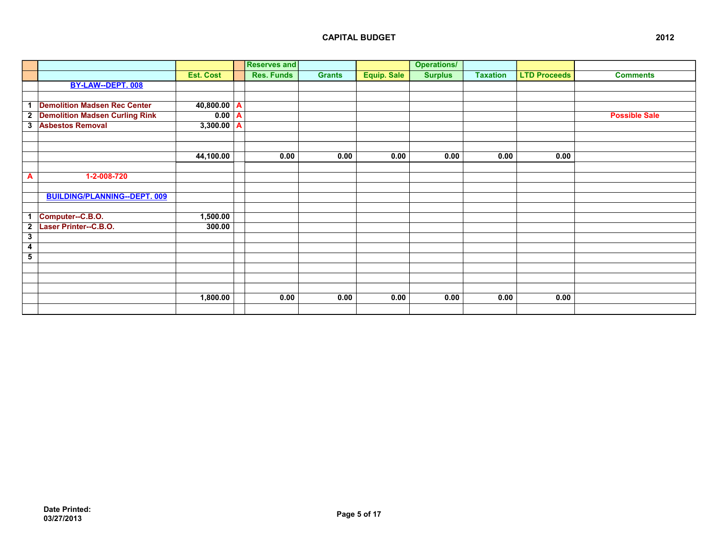|              |                                       |                  | <b>Reserves and</b> |               |             | <b>Operations/</b> |                 |                     |                      |
|--------------|---------------------------------------|------------------|---------------------|---------------|-------------|--------------------|-----------------|---------------------|----------------------|
|              |                                       | <b>Est. Cost</b> | <b>Res. Funds</b>   | <b>Grants</b> | Equip. Sale | <b>Surplus</b>     | <b>Taxation</b> | <b>LTD Proceeds</b> | <b>Comments</b>      |
|              | BY-LAW--DEPT. 008                     |                  |                     |               |             |                    |                 |                     |                      |
|              |                                       |                  |                     |               |             |                    |                 |                     |                      |
| 1            | <b>Demolition Madsen Rec Center</b>   | 40,800.00  A     |                     |               |             |                    |                 |                     |                      |
| $\mathbf{2}$ | <b>Demolition Madsen Curling Rink</b> | $0.00$ A         |                     |               |             |                    |                 |                     | <b>Possible Sale</b> |
| 3            | <b>Asbestos Removal</b>               | $3,300.00$ A     |                     |               |             |                    |                 |                     |                      |
|              |                                       |                  |                     |               |             |                    |                 |                     |                      |
|              |                                       |                  |                     |               |             |                    |                 |                     |                      |
|              |                                       | 44,100.00        | 0.00                | 0.00          | 0.00        | 0.00               | 0.00            | 0.00                |                      |
|              |                                       |                  |                     |               |             |                    |                 |                     |                      |
| A            | 1-2-008-720                           |                  |                     |               |             |                    |                 |                     |                      |
|              |                                       |                  |                     |               |             |                    |                 |                     |                      |
|              | <b>BUILDING/PLANNING--DEPT. 009</b>   |                  |                     |               |             |                    |                 |                     |                      |
|              |                                       |                  |                     |               |             |                    |                 |                     |                      |
| -1           | Computer--C.B.O.                      | 1,500.00         |                     |               |             |                    |                 |                     |                      |
| $\mathbf{2}$ | Laser Printer--C.B.O.                 | 300.00           |                     |               |             |                    |                 |                     |                      |
| 3            |                                       |                  |                     |               |             |                    |                 |                     |                      |
| 4            |                                       |                  |                     |               |             |                    |                 |                     |                      |
| 5            |                                       |                  |                     |               |             |                    |                 |                     |                      |
|              |                                       |                  |                     |               |             |                    |                 |                     |                      |
|              |                                       |                  |                     |               |             |                    |                 |                     |                      |
|              |                                       |                  |                     |               |             |                    |                 |                     |                      |
|              |                                       | 1,800.00         | 0.00                | 0.00          | 0.00        | 0.00               | 0.00            | 0.00                |                      |
|              |                                       |                  |                     |               |             |                    |                 |                     |                      |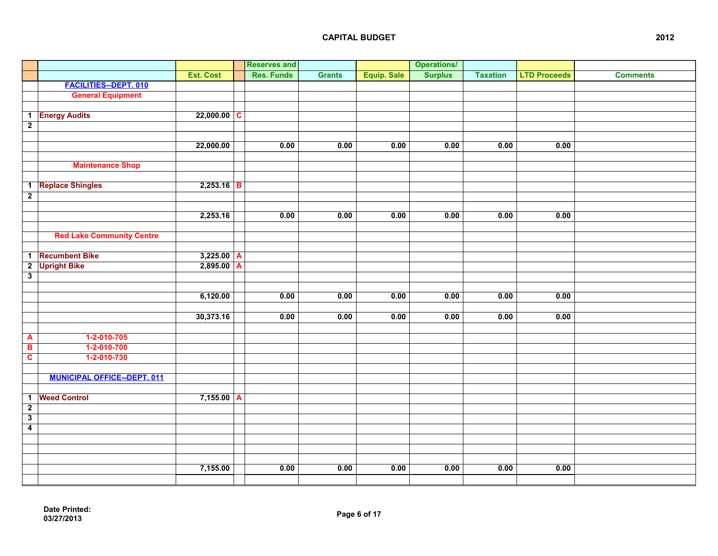|                         |                                    |                  | <b>Reserves and</b> |               |                    | <b>Operations/</b> |                 |                     |                 |
|-------------------------|------------------------------------|------------------|---------------------|---------------|--------------------|--------------------|-----------------|---------------------|-----------------|
|                         |                                    | <b>Est. Cost</b> | <b>Res. Funds</b>   | <b>Grants</b> | <b>Equip. Sale</b> | <b>Surplus</b>     | <b>Taxation</b> | <b>LTD Proceeds</b> | <b>Comments</b> |
|                         | <b>FACILITIES--DEPT. 010</b>       |                  |                     |               |                    |                    |                 |                     |                 |
|                         | <b>General Equipment</b>           |                  |                     |               |                    |                    |                 |                     |                 |
|                         |                                    |                  |                     |               |                    |                    |                 |                     |                 |
|                         | 1 Energy Audits                    | $22,000.00$ C    |                     |               |                    |                    |                 |                     |                 |
| $\overline{2}$          |                                    |                  |                     |               |                    |                    |                 |                     |                 |
|                         |                                    |                  |                     |               |                    |                    |                 |                     |                 |
|                         |                                    | 22,000.00        | 0.00                | 0.00          | 0.00               | 0.00               | 0.00            | 0.00                |                 |
|                         |                                    |                  |                     |               |                    |                    |                 |                     |                 |
|                         | <b>Maintenance Shop</b>            |                  |                     |               |                    |                    |                 |                     |                 |
|                         |                                    |                  |                     |               |                    |                    |                 |                     |                 |
| $\overline{1}$          | <b>Replace Shingles</b>            | $2,253.16$ B     |                     |               |                    |                    |                 |                     |                 |
| $\overline{2}$          |                                    |                  |                     |               |                    |                    |                 |                     |                 |
|                         |                                    |                  |                     |               |                    |                    |                 |                     |                 |
|                         |                                    | 2,253.16         | 0.00                | 0.00          | 0.00               | 0.00               | 0.00            | 0.00                |                 |
|                         |                                    |                  |                     |               |                    |                    |                 |                     |                 |
|                         | <b>Red Lake Community Centre</b>   |                  |                     |               |                    |                    |                 |                     |                 |
|                         |                                    |                  |                     |               |                    |                    |                 |                     |                 |
| $\mathbf{1}$            | <b>Recumbent Bike</b>              | $3,225.00$ A     |                     |               |                    |                    |                 |                     |                 |
| $\overline{2}$          | <b>Upright Bike</b>                | $2,895.00$ A     |                     |               |                    |                    |                 |                     |                 |
| $\overline{\mathbf{3}}$ |                                    |                  |                     |               |                    |                    |                 |                     |                 |
|                         |                                    |                  |                     |               |                    |                    |                 |                     |                 |
|                         |                                    | 6,120.00         | 0.00                | 0.00          | 0.00               | 0.00               | 0.00            | 0.00                |                 |
|                         |                                    |                  |                     |               |                    |                    |                 |                     |                 |
|                         |                                    | 30,373.16        | 0.00                | 0.00          | 0.00               | 0.00               | 0.00            | 0.00                |                 |
|                         |                                    |                  |                     |               |                    |                    |                 |                     |                 |
| A                       | $1-2-010-705$                      |                  |                     |               |                    |                    |                 |                     |                 |
| $\overline{\mathbf{B}}$ | 1-2-010-700                        |                  |                     |               |                    |                    |                 |                     |                 |
| $\overline{\mathbf{c}}$ | $1-2-010-730$                      |                  |                     |               |                    |                    |                 |                     |                 |
|                         |                                    |                  |                     |               |                    |                    |                 |                     |                 |
|                         | <b>MUNICIPAL OFFICE--DEPT. 011</b> |                  |                     |               |                    |                    |                 |                     |                 |
|                         |                                    |                  |                     |               |                    |                    |                 |                     |                 |
| $\mathbf{1}$            | <b>Weed Control</b>                | $7,155.00$ A     |                     |               |                    |                    |                 |                     |                 |
| $\overline{2}$          |                                    |                  |                     |               |                    |                    |                 |                     |                 |
| $\overline{\mathbf{3}}$ |                                    |                  |                     |               |                    |                    |                 |                     |                 |
| $\overline{4}$          |                                    |                  |                     |               |                    |                    |                 |                     |                 |
|                         |                                    |                  |                     |               |                    |                    |                 |                     |                 |
|                         |                                    |                  |                     |               |                    |                    |                 |                     |                 |
|                         |                                    |                  |                     |               |                    |                    |                 |                     |                 |
|                         |                                    | 7,155.00         | 0.00                | 0.00          | 0.00               | 0.00               | 0.00            | 0.00                |                 |
|                         |                                    |                  |                     |               |                    |                    |                 |                     |                 |
|                         |                                    |                  |                     |               |                    |                    |                 |                     |                 |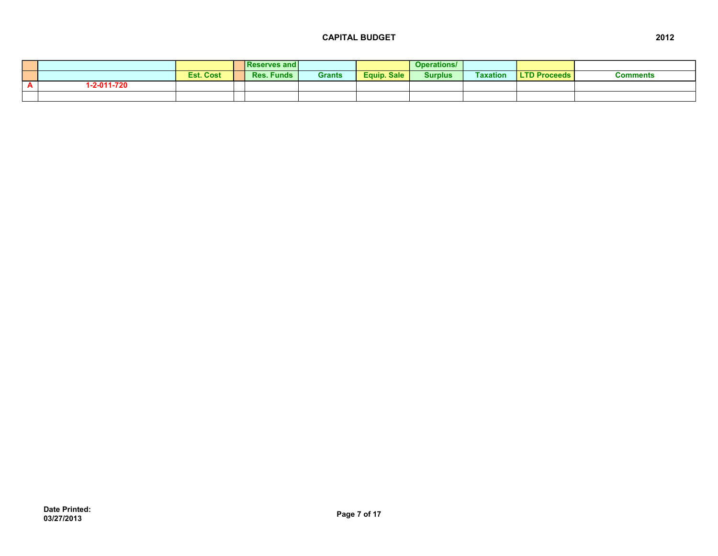|          |                  |           | <b>Reserves and I</b> |               |             | <b>Operations</b> |                 |                     |          |
|----------|------------------|-----------|-----------------------|---------------|-------------|-------------------|-----------------|---------------------|----------|
|          |                  | Est. Cost | <b>Funds</b><br>Res.  | <b>Grants</b> | Equip, Sale | <b>Surplus</b>    | <b>Taxation</b> | <b>LTD Proceeds</b> | ∶omments |
| <b>-</b> | $-2 - 011 - 720$ |           |                       |               |             |                   |                 |                     |          |
|          |                  |           |                       |               |             |                   |                 |                     |          |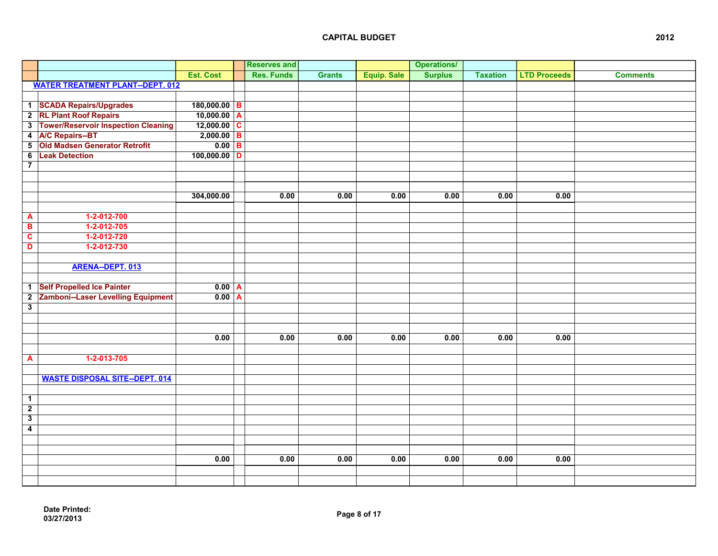|                          |                                           |                     | <b>Reserves and</b> |               |                    | <b>Operations/</b> |                 |                     |                 |
|--------------------------|-------------------------------------------|---------------------|---------------------|---------------|--------------------|--------------------|-----------------|---------------------|-----------------|
|                          |                                           | <b>Est. Cost</b>    | <b>Res. Funds</b>   | <b>Grants</b> | <b>Equip. Sale</b> | <b>Surplus</b>     | <b>Taxation</b> | <b>LTD Proceeds</b> | <b>Comments</b> |
|                          | <b>WATER TREATMENT PLANT--DEPT. 012</b>   |                     |                     |               |                    |                    |                 |                     |                 |
|                          |                                           |                     |                     |               |                    |                    |                 |                     |                 |
|                          | 1 SCADA Repairs/Upgrades                  | $180,000.00$ B      |                     |               |                    |                    |                 |                     |                 |
|                          | 2 RL Plant Roof Repairs                   | $10,000.00$ A       |                     |               |                    |                    |                 |                     |                 |
|                          | 3 Tower/Reservoir Inspection Cleaning     | $12,000.00$ C       |                     |               |                    |                    |                 |                     |                 |
|                          | 4 A/C Repairs--BT                         | $2,000.00$ B        |                     |               |                    |                    |                 |                     |                 |
| $\overline{\phantom{a}}$ | Old Madsen Generator Retrofit             | $\overline{0.00}$ B |                     |               |                    |                    |                 |                     |                 |
| 6                        | <b>Leak Detection</b>                     | $100,000.00$ D      |                     |               |                    |                    |                 |                     |                 |
| $\overline{\mathbf{7}}$  |                                           |                     |                     |               |                    |                    |                 |                     |                 |
|                          |                                           |                     |                     |               |                    |                    |                 |                     |                 |
|                          |                                           |                     |                     |               |                    |                    |                 |                     |                 |
|                          |                                           | 304,000.00          | 0.00                | 0.00          | 0.00               | 0.00               | 0.00            | 0.00                |                 |
|                          |                                           |                     |                     |               |                    |                    |                 |                     |                 |
| $\mathbf{A}$             | 1-2-012-700                               |                     |                     |               |                    |                    |                 |                     |                 |
| $\overline{\mathbf{B}}$  | 1-2-012-705                               |                     |                     |               |                    |                    |                 |                     |                 |
| $\overline{\mathbf{c}}$  | 1-2-012-720                               |                     |                     |               |                    |                    |                 |                     |                 |
| D                        | 1-2-012-730                               |                     |                     |               |                    |                    |                 |                     |                 |
|                          |                                           |                     |                     |               |                    |                    |                 |                     |                 |
|                          | ARENA--DEPT. 013                          |                     |                     |               |                    |                    |                 |                     |                 |
|                          |                                           |                     |                     |               |                    |                    |                 |                     |                 |
|                          | 1 Self Propelled Ice Painter              | $\overline{0.00}$ A |                     |               |                    |                    |                 |                     |                 |
| $\overline{2}$           | <b>Zamboni--Laser Levelling Equipment</b> | $0.00$ A            |                     |               |                    |                    |                 |                     |                 |
| $\overline{\mathbf{3}}$  |                                           |                     |                     |               |                    |                    |                 |                     |                 |
|                          |                                           |                     |                     |               |                    |                    |                 |                     |                 |
|                          |                                           |                     |                     |               |                    |                    |                 |                     |                 |
|                          |                                           | 0.00                | 0.00                | 0.00          | 0.00               | 0.00               | 0.00            | 0.00                |                 |
|                          |                                           |                     |                     |               |                    |                    |                 |                     |                 |
| $\overline{\mathbf{A}}$  | 1-2-013-705                               |                     |                     |               |                    |                    |                 |                     |                 |
|                          |                                           |                     |                     |               |                    |                    |                 |                     |                 |
|                          | <b>WASTE DISPOSAL SITE--DEPT. 014</b>     |                     |                     |               |                    |                    |                 |                     |                 |
|                          |                                           |                     |                     |               |                    |                    |                 |                     |                 |
| $\overline{1}$           |                                           |                     |                     |               |                    |                    |                 |                     |                 |
| $\overline{2}$           |                                           |                     |                     |               |                    |                    |                 |                     |                 |
| $\overline{\mathbf{3}}$  |                                           |                     |                     |               |                    |                    |                 |                     |                 |
| $\overline{4}$           |                                           |                     |                     |               |                    |                    |                 |                     |                 |
|                          |                                           |                     |                     |               |                    |                    |                 |                     |                 |
|                          |                                           |                     |                     |               |                    |                    |                 |                     |                 |
|                          |                                           | 0.00                | 0.00                | 0.00          | 0.00               | 0.00               | 0.00            | 0.00                |                 |
|                          |                                           |                     |                     |               |                    |                    |                 |                     |                 |
|                          |                                           |                     |                     |               |                    |                    |                 |                     |                 |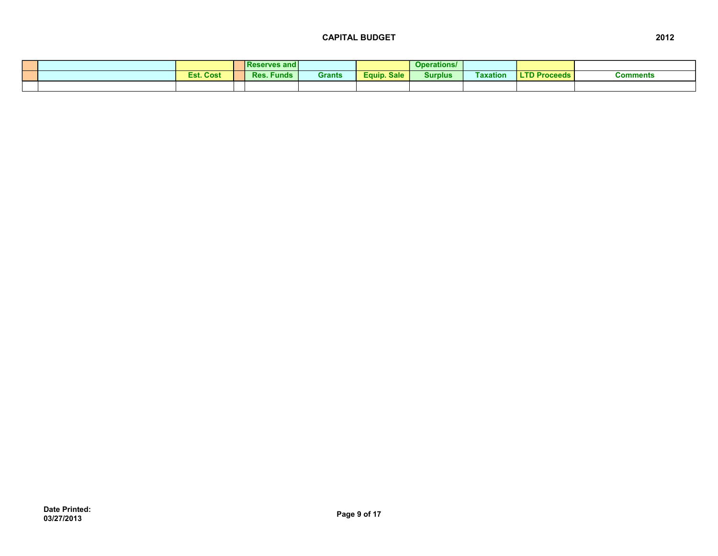|  |                  | <b>IReserves and I</b> |        |             | <b>Operations/</b> |                 |                     |          |
|--|------------------|------------------------|--------|-------------|--------------------|-----------------|---------------------|----------|
|  | <b>Est. Cost</b> | <b>Res. Funds</b>      | Grants | Equip. Sale | <b>Surplus</b>     | <b>Faxation</b> | <b>LTD Proceeds</b> | Comments |
|  |                  |                        |        |             |                    |                 |                     |          |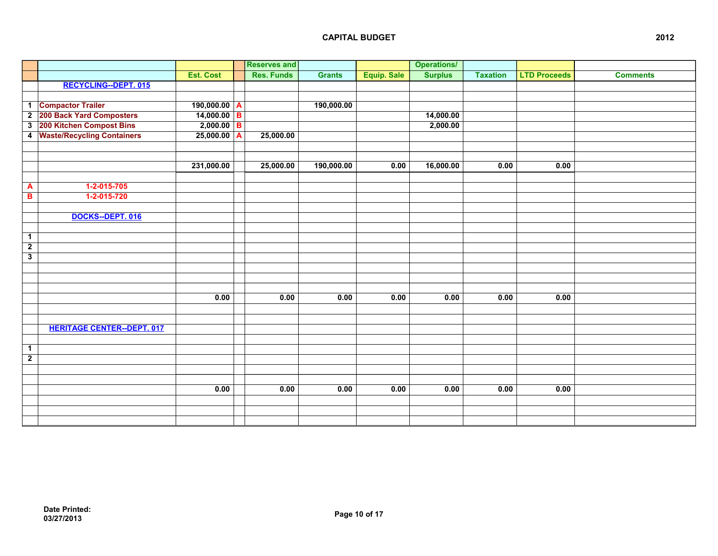|                         |                                   |                  | <b>Reserves and</b> |               |                    | <b>Operations/</b> |                 |                     |                 |
|-------------------------|-----------------------------------|------------------|---------------------|---------------|--------------------|--------------------|-----------------|---------------------|-----------------|
|                         |                                   | <b>Est. Cost</b> | <b>Res. Funds</b>   | <b>Grants</b> | <b>Equip. Sale</b> | <b>Surplus</b>     | <b>Taxation</b> | <b>LTD Proceeds</b> | <b>Comments</b> |
|                         | <b>RECYCLING--DEPT. 015</b>       |                  |                     |               |                    |                    |                 |                     |                 |
|                         |                                   |                  |                     |               |                    |                    |                 |                     |                 |
|                         | 1 Compactor Trailer               | $190,000.00$ A   |                     | 190,000.00    |                    |                    |                 |                     |                 |
|                         | 2 200 Back Yard Composters        | $14,000.00$ B    |                     |               |                    | 14,000.00          |                 |                     |                 |
| $\overline{\mathbf{3}}$ | 200 Kitchen Compost Bins          | $2,000.00$ B     |                     |               |                    | 2,000.00           |                 |                     |                 |
| $\overline{4}$          | <b>Waste/Recycling Containers</b> | $25,000.00$ A    | 25,000.00           |               |                    |                    |                 |                     |                 |
|                         |                                   |                  |                     |               |                    |                    |                 |                     |                 |
|                         |                                   |                  |                     |               |                    |                    |                 |                     |                 |
|                         |                                   | 231,000.00       | 25,000.00           | 190,000.00    | 0.00               | 16,000.00          | 0.00            | 0.00                |                 |
|                         |                                   |                  |                     |               |                    |                    |                 |                     |                 |
| A                       | 1-2-015-705                       |                  |                     |               |                    |                    |                 |                     |                 |
| $\overline{B}$          | 1-2-015-720                       |                  |                     |               |                    |                    |                 |                     |                 |
|                         |                                   |                  |                     |               |                    |                    |                 |                     |                 |
|                         | DOCKS--DEPT. 016                  |                  |                     |               |                    |                    |                 |                     |                 |
|                         |                                   |                  |                     |               |                    |                    |                 |                     |                 |
| $\overline{1}$          |                                   |                  |                     |               |                    |                    |                 |                     |                 |
| $\overline{2}$          |                                   |                  |                     |               |                    |                    |                 |                     |                 |
| $\overline{\mathbf{3}}$ |                                   |                  |                     |               |                    |                    |                 |                     |                 |
|                         |                                   |                  |                     |               |                    |                    |                 |                     |                 |
|                         |                                   |                  |                     |               |                    |                    |                 |                     |                 |
|                         |                                   |                  |                     |               |                    |                    |                 |                     |                 |
|                         |                                   | 0.00             | 0.00                | 0.00          | 0.00               | 0.00               | 0.00            | 0.00                |                 |
|                         |                                   |                  |                     |               |                    |                    |                 |                     |                 |
|                         |                                   |                  |                     |               |                    |                    |                 |                     |                 |
|                         | <b>HERITAGE CENTER--DEPT. 017</b> |                  |                     |               |                    |                    |                 |                     |                 |
|                         |                                   |                  |                     |               |                    |                    |                 |                     |                 |
| $\mathbf{1}$            |                                   |                  |                     |               |                    |                    |                 |                     |                 |
| $\overline{2}$          |                                   |                  |                     |               |                    |                    |                 |                     |                 |
|                         |                                   |                  |                     |               |                    |                    |                 |                     |                 |
|                         |                                   |                  |                     |               |                    |                    |                 |                     |                 |
|                         |                                   | 0.00             | 0.00                | 0.00          | 0.00               | 0.00               | 0.00            | 0.00                |                 |
|                         |                                   |                  |                     |               |                    |                    |                 |                     |                 |
|                         |                                   |                  |                     |               |                    |                    |                 |                     |                 |
|                         |                                   |                  |                     |               |                    |                    |                 |                     |                 |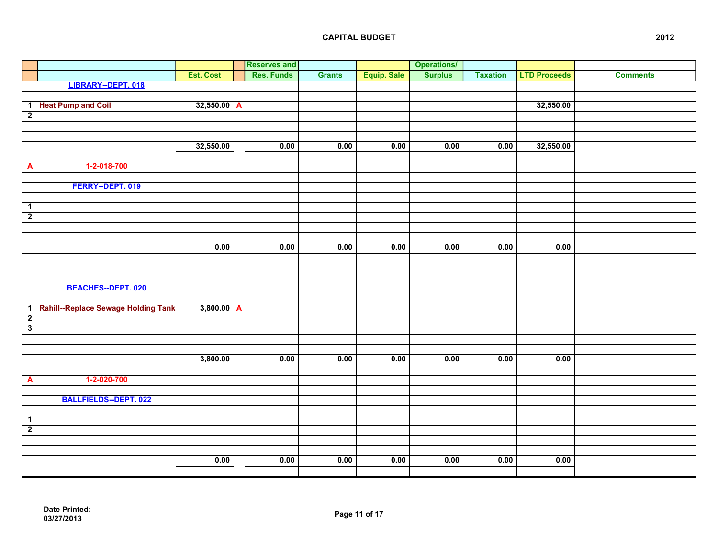|                         |                                     |               | <b>Reserves and</b> |               |             | <b>Operations/</b> |                 |                     |                 |
|-------------------------|-------------------------------------|---------------|---------------------|---------------|-------------|--------------------|-----------------|---------------------|-----------------|
|                         |                                     | Est. Cost     | <b>Res. Funds</b>   | <b>Grants</b> | Equip. Sale | <b>Surplus</b>     | <b>Taxation</b> | <b>LTD Proceeds</b> | <b>Comments</b> |
|                         | LIBRARY--DEPT. 018                  |               |                     |               |             |                    |                 |                     |                 |
|                         |                                     |               |                     |               |             |                    |                 |                     |                 |
|                         | 1 Heat Pump and Coil                | $32,550.00$ A |                     |               |             |                    |                 | 32,550.00           |                 |
| $\overline{2}$          |                                     |               |                     |               |             |                    |                 |                     |                 |
|                         |                                     |               |                     |               |             |                    |                 |                     |                 |
|                         |                                     |               |                     |               |             |                    |                 |                     |                 |
|                         |                                     | 32,550.00     | 0.00                | 0.00          | 0.00        | 0.00               | 0.00            | 32,550.00           |                 |
|                         |                                     |               |                     |               |             |                    |                 |                     |                 |
| A                       | 1-2-018-700                         |               |                     |               |             |                    |                 |                     |                 |
|                         |                                     |               |                     |               |             |                    |                 |                     |                 |
|                         | FERRY--DEPT. 019                    |               |                     |               |             |                    |                 |                     |                 |
|                         |                                     |               |                     |               |             |                    |                 |                     |                 |
| $\overline{1}$          |                                     |               |                     |               |             |                    |                 |                     |                 |
| $\overline{2}$          |                                     |               |                     |               |             |                    |                 |                     |                 |
|                         |                                     |               |                     |               |             |                    |                 |                     |                 |
|                         |                                     |               |                     |               |             |                    |                 |                     |                 |
|                         |                                     | 0.00          | 0.00                | 0.00          | 0.00        | 0.00               | 0.00            | 0.00                |                 |
|                         |                                     |               |                     |               |             |                    |                 |                     |                 |
|                         |                                     |               |                     |               |             |                    |                 |                     |                 |
|                         |                                     |               |                     |               |             |                    |                 |                     |                 |
|                         | <b>BEACHES--DEPT. 020</b>           |               |                     |               |             |                    |                 |                     |                 |
|                         |                                     |               |                     |               |             |                    |                 |                     |                 |
| $\mathbf{1}$            | Rahill--Replace Sewage Holding Tank | $3,800.00$ A  |                     |               |             |                    |                 |                     |                 |
| $\overline{2}$          |                                     |               |                     |               |             |                    |                 |                     |                 |
| $\overline{\mathbf{3}}$ |                                     |               |                     |               |             |                    |                 |                     |                 |
|                         |                                     |               |                     |               |             |                    |                 |                     |                 |
|                         |                                     |               |                     |               |             |                    |                 |                     |                 |
|                         |                                     | 3,800.00      | 0.00                | 0.00          | 0.00        | 0.00               | 0.00            | 0.00                |                 |
|                         |                                     |               |                     |               |             |                    |                 |                     |                 |
| $\blacktriangle$        | 1-2-020-700                         |               |                     |               |             |                    |                 |                     |                 |
|                         |                                     |               |                     |               |             |                    |                 |                     |                 |
|                         | BALLFIELDS--DEPT. 022               |               |                     |               |             |                    |                 |                     |                 |
|                         |                                     |               |                     |               |             |                    |                 |                     |                 |
| $\overline{1}$          |                                     |               |                     |               |             |                    |                 |                     |                 |
| $\overline{2}$          |                                     |               |                     |               |             |                    |                 |                     |                 |
|                         |                                     |               |                     |               |             |                    |                 |                     |                 |
|                         |                                     |               |                     |               |             |                    |                 |                     |                 |
|                         |                                     | 0.00          | 0.00                | 0.00          | 0.00        | 0.00               | 0.00            | 0.00                |                 |
|                         |                                     |               |                     |               |             |                    |                 |                     |                 |
|                         |                                     |               |                     |               |             |                    |                 |                     |                 |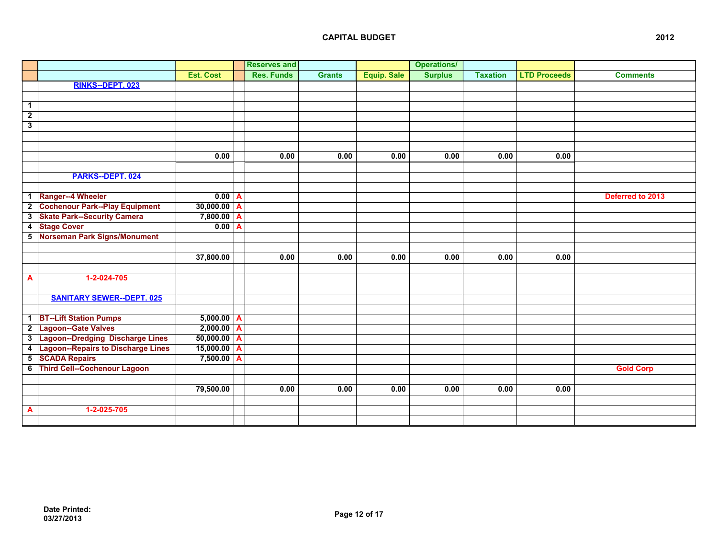|                         |                                       |                  |              | <b>Reserves and</b> |               |                    | <b>Operations/</b> |                 |                     |                  |
|-------------------------|---------------------------------------|------------------|--------------|---------------------|---------------|--------------------|--------------------|-----------------|---------------------|------------------|
|                         |                                       | <b>Est. Cost</b> |              | <b>Res. Funds</b>   | <b>Grants</b> | <b>Equip. Sale</b> | <b>Surplus</b>     | <b>Taxation</b> | <b>LTD Proceeds</b> | <b>Comments</b>  |
|                         | RINKS--DEPT. 023                      |                  |              |                     |               |                    |                    |                 |                     |                  |
|                         |                                       |                  |              |                     |               |                    |                    |                 |                     |                  |
| $\mathbf{1}$            |                                       |                  |              |                     |               |                    |                    |                 |                     |                  |
| $\overline{2}$          |                                       |                  |              |                     |               |                    |                    |                 |                     |                  |
| $\overline{\mathbf{3}}$ |                                       |                  |              |                     |               |                    |                    |                 |                     |                  |
|                         |                                       |                  |              |                     |               |                    |                    |                 |                     |                  |
|                         |                                       |                  |              |                     |               |                    |                    |                 |                     |                  |
|                         |                                       | 0.00             |              | 0.00                | 0.00          | 0.00               | 0.00               | 0.00            | 0.00                |                  |
|                         |                                       |                  |              |                     |               |                    |                    |                 |                     |                  |
|                         | PARKS--DEPT. 024                      |                  |              |                     |               |                    |                    |                 |                     |                  |
|                         |                                       |                  |              |                     |               |                    |                    |                 |                     |                  |
| $\overline{1}$          | Ranger--4 Wheeler                     | $0.00$ A         |              |                     |               |                    |                    |                 |                     | Deferred to 2013 |
| $\overline{2}$          | <b>Cochenour Park--Play Equipment</b> | $30,000.00$ A    |              |                     |               |                    |                    |                 |                     |                  |
| 3                       | <b>Skate Park--Security Camera</b>    | $7,800.00$ A     |              |                     |               |                    |                    |                 |                     |                  |
| $\overline{4}$          | <b>Stage Cover</b>                    | 0.00             | $\mathbf{A}$ |                     |               |                    |                    |                 |                     |                  |
| $\overline{\mathbf{5}}$ | Norseman Park Signs/Monument          |                  |              |                     |               |                    |                    |                 |                     |                  |
|                         |                                       |                  |              |                     |               |                    |                    |                 |                     |                  |
|                         |                                       | 37,800.00        |              | 0.00                | 0.00          | 0.00               | 0.00               | 0.00            | 0.00                |                  |
|                         |                                       |                  |              |                     |               |                    |                    |                 |                     |                  |
| A                       | 1-2-024-705                           |                  |              |                     |               |                    |                    |                 |                     |                  |
|                         |                                       |                  |              |                     |               |                    |                    |                 |                     |                  |
|                         | <b>SANITARY SEWER--DEPT. 025</b>      |                  |              |                     |               |                    |                    |                 |                     |                  |
|                         | 1 BT--Lift Station Pumps              | $5,000.00$ A     |              |                     |               |                    |                    |                 |                     |                  |
|                         | 2 Lagoon--Gate Valves                 | $2,000.00$ A     |              |                     |               |                    |                    |                 |                     |                  |
|                         | 3 Lagoon--Dredging Discharge Lines    | $50,000.00$ A    |              |                     |               |                    |                    |                 |                     |                  |
| $\overline{4}$          | Lagoon--Repairs to Discharge Lines    | $15,000.00$ A    |              |                     |               |                    |                    |                 |                     |                  |
| 5                       | <b>SCADA Repairs</b>                  | $7,500.00$ A     |              |                     |               |                    |                    |                 |                     |                  |
|                         | 6 Third Cell--Cochenour Lagoon        |                  |              |                     |               |                    |                    |                 |                     | <b>Gold Corp</b> |
|                         |                                       |                  |              |                     |               |                    |                    |                 |                     |                  |
|                         |                                       | 79,500.00        |              | 0.00                | 0.00          | 0.00               | 0.00               | 0.00            | 0.00                |                  |
|                         |                                       |                  |              |                     |               |                    |                    |                 |                     |                  |
| A                       | 1-2-025-705                           |                  |              |                     |               |                    |                    |                 |                     |                  |
|                         |                                       |                  |              |                     |               |                    |                    |                 |                     |                  |
|                         |                                       |                  |              |                     |               |                    |                    |                 |                     |                  |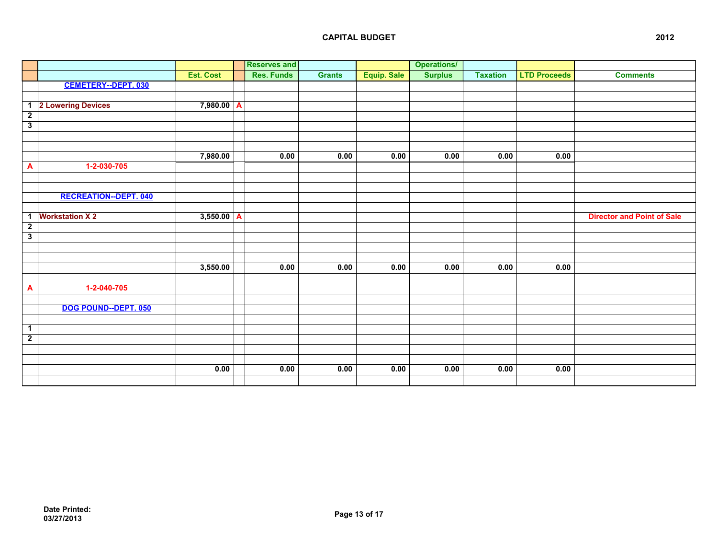|                         |                              |                  |   | <b>Reserves and</b> |               |             | <b>Operations/</b> |                 |                     |                                   |
|-------------------------|------------------------------|------------------|---|---------------------|---------------|-------------|--------------------|-----------------|---------------------|-----------------------------------|
|                         |                              | <b>Est. Cost</b> |   | <b>Res. Funds</b>   | <b>Grants</b> | Equip. Sale | <b>Surplus</b>     | <b>Taxation</b> | <b>LTD Proceeds</b> | <b>Comments</b>                   |
|                         | <b>CEMETERY--DEPT. 030</b>   |                  |   |                     |               |             |                    |                 |                     |                                   |
|                         |                              |                  |   |                     |               |             |                    |                 |                     |                                   |
|                         | 1 2 Lowering Devices         | 7,980.00         | A |                     |               |             |                    |                 |                     |                                   |
| $\overline{2}$          |                              |                  |   |                     |               |             |                    |                 |                     |                                   |
| $\overline{\mathbf{3}}$ |                              |                  |   |                     |               |             |                    |                 |                     |                                   |
|                         |                              |                  |   |                     |               |             |                    |                 |                     |                                   |
|                         |                              |                  |   |                     |               |             |                    |                 |                     |                                   |
|                         |                              | 7,980.00         |   | 0.00                | 0.00          | 0.00        | 0.00               | 0.00            | 0.00                |                                   |
| A                       | 1-2-030-705                  |                  |   |                     |               |             |                    |                 |                     |                                   |
|                         |                              |                  |   |                     |               |             |                    |                 |                     |                                   |
|                         |                              |                  |   |                     |               |             |                    |                 |                     |                                   |
|                         | <b>RECREATION--DEPT. 040</b> |                  |   |                     |               |             |                    |                 |                     |                                   |
|                         |                              |                  |   |                     |               |             |                    |                 |                     |                                   |
| $\mathbf{1}$            | <b>Workstation X2</b>        | $3,550.00$ A     |   |                     |               |             |                    |                 |                     | <b>Director and Point of Sale</b> |
| $\overline{2}$          |                              |                  |   |                     |               |             |                    |                 |                     |                                   |
| $\overline{\mathbf{3}}$ |                              |                  |   |                     |               |             |                    |                 |                     |                                   |
|                         |                              |                  |   |                     |               |             |                    |                 |                     |                                   |
|                         |                              |                  |   |                     |               |             |                    |                 |                     |                                   |
|                         |                              | 3,550.00         |   | 0.00                | 0.00          | 0.00        | 0.00               | 0.00            | 0.00                |                                   |
|                         |                              |                  |   |                     |               |             |                    |                 |                     |                                   |
| A                       | $1-2-040-705$                |                  |   |                     |               |             |                    |                 |                     |                                   |
|                         |                              |                  |   |                     |               |             |                    |                 |                     |                                   |
|                         | DOG POUND--DEPT. 050         |                  |   |                     |               |             |                    |                 |                     |                                   |
|                         |                              |                  |   |                     |               |             |                    |                 |                     |                                   |
| $\mathbf{1}$            |                              |                  |   |                     |               |             |                    |                 |                     |                                   |
| $\overline{2}$          |                              |                  |   |                     |               |             |                    |                 |                     |                                   |
|                         |                              |                  |   |                     |               |             |                    |                 |                     |                                   |
|                         |                              |                  |   |                     |               |             |                    |                 |                     |                                   |
|                         |                              | 0.00             |   | 0.00                | 0.00          | 0.00        | 0.00               | 0.00            | 0.00                |                                   |
|                         |                              |                  |   |                     |               |             |                    |                 |                     |                                   |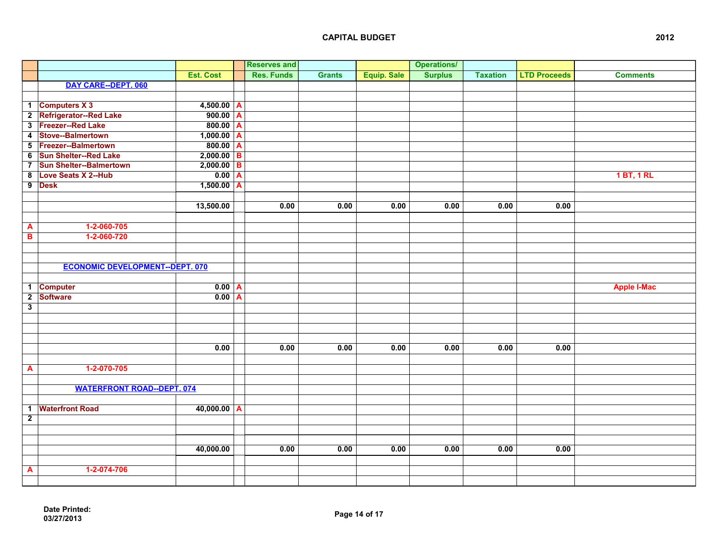|                         |                                        |                       |                         | <b>Reserves and</b> |               |                    | <b>Operations/</b> |                 |                     |                    |
|-------------------------|----------------------------------------|-----------------------|-------------------------|---------------------|---------------|--------------------|--------------------|-----------------|---------------------|--------------------|
|                         |                                        | <b>Est. Cost</b>      |                         | <b>Res. Funds</b>   | <b>Grants</b> | <b>Equip. Sale</b> | <b>Surplus</b>     | <b>Taxation</b> | <b>LTD Proceeds</b> | <b>Comments</b>    |
|                         | DAY CARE--DEPT. 060                    |                       |                         |                     |               |                    |                    |                 |                     |                    |
|                         |                                        |                       |                         |                     |               |                    |                    |                 |                     |                    |
|                         | 1 Computers X 3                        | $4,500.00$ A          |                         |                     |               |                    |                    |                 |                     |                    |
|                         | 2 Refrigerator--Red Lake               | $900.00$ A            |                         |                     |               |                    |                    |                 |                     |                    |
|                         | 3 Freezer--Red Lake                    | 800.00                | $\overline{A}$          |                     |               |                    |                    |                 |                     |                    |
|                         | 4 Stove--Balmertown                    | $1,000.00$ A          |                         |                     |               |                    |                    |                 |                     |                    |
|                         | 5 Freezer--Balmertown                  | $\overline{800.00}$ A |                         |                     |               |                    |                    |                 |                     |                    |
|                         | 6 Sun Shelter--Red Lake                | $2,000.00$ B          |                         |                     |               |                    |                    |                 |                     |                    |
| $\overline{\mathbf{z}}$ | <b>Sun Shelter--Balmertown</b>         | $2,000.00$ B          |                         |                     |               |                    |                    |                 |                     |                    |
| 8                       | Love Seats X 2--Hub                    | 0.00                  | $\overline{\mathbf{A}}$ |                     |               |                    |                    |                 |                     | <b>1 BT, 1 RL</b>  |
|                         | 9 Desk                                 | $1,500.00$ A          |                         |                     |               |                    |                    |                 |                     |                    |
|                         |                                        |                       |                         |                     |               |                    |                    |                 |                     |                    |
|                         |                                        | 13,500.00             |                         | 0.00                | 0.00          | 0.00               | 0.00               | 0.00            | 0.00                |                    |
|                         |                                        |                       |                         |                     |               |                    |                    |                 |                     |                    |
| A                       | 1-2-060-705                            |                       |                         |                     |               |                    |                    |                 |                     |                    |
| В                       | 1-2-060-720                            |                       |                         |                     |               |                    |                    |                 |                     |                    |
|                         |                                        |                       |                         |                     |               |                    |                    |                 |                     |                    |
|                         |                                        |                       |                         |                     |               |                    |                    |                 |                     |                    |
|                         | <b>ECONOMIC DEVELOPMENT--DEPT. 070</b> |                       |                         |                     |               |                    |                    |                 |                     |                    |
|                         |                                        |                       |                         |                     |               |                    |                    |                 |                     |                    |
|                         | 1 Computer                             | 0.00 <sub>A</sub>     |                         |                     |               |                    |                    |                 |                     | <b>Apple I-Mac</b> |
| $\overline{2}$          | Software                               | $0.00$ A              |                         |                     |               |                    |                    |                 |                     |                    |
| $\overline{\mathbf{3}}$ |                                        |                       |                         |                     |               |                    |                    |                 |                     |                    |
|                         |                                        |                       |                         |                     |               |                    |                    |                 |                     |                    |
|                         |                                        |                       |                         |                     |               |                    |                    |                 |                     |                    |
|                         |                                        |                       |                         |                     |               |                    |                    |                 |                     |                    |
|                         |                                        | 0.00                  |                         | 0.00                | 0.00          | 0.00               | 0.00               | 0.00            | 0.00                |                    |
|                         |                                        |                       |                         |                     |               |                    |                    |                 |                     |                    |
| A                       | 1-2-070-705                            |                       |                         |                     |               |                    |                    |                 |                     |                    |
|                         |                                        |                       |                         |                     |               |                    |                    |                 |                     |                    |
|                         | <b>WATERFRONT ROAD--DEPT. 074</b>      |                       |                         |                     |               |                    |                    |                 |                     |                    |
|                         |                                        |                       |                         |                     |               |                    |                    |                 |                     |                    |
|                         | 1 Waterfront Road                      | $40,000.00$ A         |                         |                     |               |                    |                    |                 |                     |                    |
| $\overline{2}$          |                                        |                       |                         |                     |               |                    |                    |                 |                     |                    |
|                         |                                        |                       |                         |                     |               |                    |                    |                 |                     |                    |
|                         |                                        |                       |                         |                     |               |                    |                    |                 |                     |                    |
|                         |                                        | 40,000.00             |                         | 0.00                | 0.00          | 0.00               | 0.00               | 0.00            | 0.00                |                    |
|                         |                                        |                       |                         |                     |               |                    |                    |                 |                     |                    |
| A                       | 1-2-074-706                            |                       |                         |                     |               |                    |                    |                 |                     |                    |
|                         |                                        |                       |                         |                     |               |                    |                    |                 |                     |                    |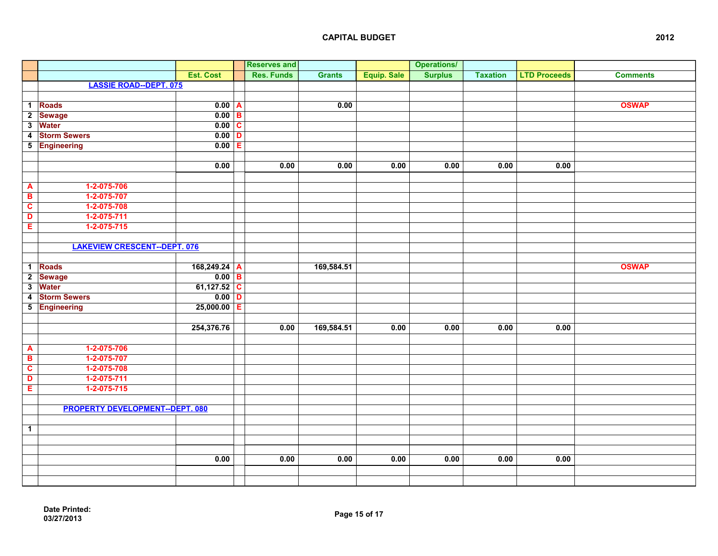|                         |                                       |                      | <b>Reserves and</b> |               |                    | <b>Operations/</b> |                 |                     |                 |
|-------------------------|---------------------------------------|----------------------|---------------------|---------------|--------------------|--------------------|-----------------|---------------------|-----------------|
|                         |                                       | <b>Est. Cost</b>     | <b>Res. Funds</b>   | <b>Grants</b> | <b>Equip. Sale</b> | <b>Surplus</b>     | <b>Taxation</b> | <b>LTD Proceeds</b> | <b>Comments</b> |
|                         | <b>LASSIE ROAD--DEPT. 075</b>         |                      |                     |               |                    |                    |                 |                     |                 |
|                         |                                       |                      |                     |               |                    |                    |                 |                     |                 |
|                         | 1 Roads                               | 0.00 A               |                     | 0.00          |                    |                    |                 |                     | <b>OSWAP</b>    |
|                         | 2 Sewage                              | $0.00$ B             |                     |               |                    |                    |                 |                     |                 |
| $\overline{\mathbf{3}}$ | <b>Water</b>                          | $\overline{0.00}$ C  |                     |               |                    |                    |                 |                     |                 |
| $\overline{4}$          | <b>Storm Sewers</b>                   | $\overline{0.00 D }$ |                     |               |                    |                    |                 |                     |                 |
|                         | 5 Engineering                         | $0.00$ E             |                     |               |                    |                    |                 |                     |                 |
|                         |                                       |                      |                     |               |                    |                    |                 |                     |                 |
|                         |                                       | 0.00                 | 0.00                | 0.00          | 0.00               | 0.00               | 0.00            | 0.00                |                 |
|                         |                                       |                      |                     |               |                    |                    |                 |                     |                 |
| A                       | 1-2-075-706                           |                      |                     |               |                    |                    |                 |                     |                 |
| B                       | 1-2-075-707                           |                      |                     |               |                    |                    |                 |                     |                 |
| $\overline{\mathbf{c}}$ | 1-2-075-708                           |                      |                     |               |                    |                    |                 |                     |                 |
| D                       | 1-2-075-711                           |                      |                     |               |                    |                    |                 |                     |                 |
| Ε                       | 1-2-075-715                           |                      |                     |               |                    |                    |                 |                     |                 |
|                         |                                       |                      |                     |               |                    |                    |                 |                     |                 |
|                         | <b>LAKEVIEW CRESCENT--DEPT. 076</b>   |                      |                     |               |                    |                    |                 |                     |                 |
|                         |                                       |                      |                     |               |                    |                    |                 |                     |                 |
|                         | 1 Roads                               | 168,249.24 A         |                     | 169,584.51    |                    |                    |                 |                     | <b>OSWAP</b>    |
| $\overline{2}$          | <b>Sewage</b>                         | $\overline{0.00}$ B  |                     |               |                    |                    |                 |                     |                 |
| $\overline{\mathbf{3}}$ | <b>Water</b>                          | 61,127.52 C          |                     |               |                    |                    |                 |                     |                 |
| $\overline{\mathbf{4}}$ | <b>Storm Sewers</b>                   | $0.00$ D             |                     |               |                    |                    |                 |                     |                 |
| $\overline{\mathbf{5}}$ | Engineering                           | $25,000.00$ E        |                     |               |                    |                    |                 |                     |                 |
|                         |                                       |                      |                     |               |                    |                    |                 |                     |                 |
|                         |                                       | 254,376.76           | 0.00                | 169,584.51    | 0.00               | 0.00               | 0.00            | 0.00                |                 |
|                         |                                       |                      |                     |               |                    |                    |                 |                     |                 |
| A                       | 1-2-075-706                           |                      |                     |               |                    |                    |                 |                     |                 |
| $\overline{\mathbf{B}}$ | 1-2-075-707                           |                      |                     |               |                    |                    |                 |                     |                 |
| $\overline{\mathbf{c}}$ | 1-2-075-708                           |                      |                     |               |                    |                    |                 |                     |                 |
| D                       | 1-2-075-711                           |                      |                     |               |                    |                    |                 |                     |                 |
| E                       | 1-2-075-715                           |                      |                     |               |                    |                    |                 |                     |                 |
|                         |                                       |                      |                     |               |                    |                    |                 |                     |                 |
|                         | <b>PROPERTY DEVELOPMENT-DEPT. 080</b> |                      |                     |               |                    |                    |                 |                     |                 |
|                         |                                       |                      |                     |               |                    |                    |                 |                     |                 |
| $\mathbf{1}$            |                                       |                      |                     |               |                    |                    |                 |                     |                 |
|                         |                                       |                      |                     |               |                    |                    |                 |                     |                 |
|                         |                                       |                      |                     |               |                    |                    |                 |                     |                 |
|                         |                                       | 0.00                 | 0.00                | 0.00          | 0.00               | 0.00               | 0.00            | 0.00                |                 |
|                         |                                       |                      |                     |               |                    |                    |                 |                     |                 |
|                         |                                       |                      |                     |               |                    |                    |                 |                     |                 |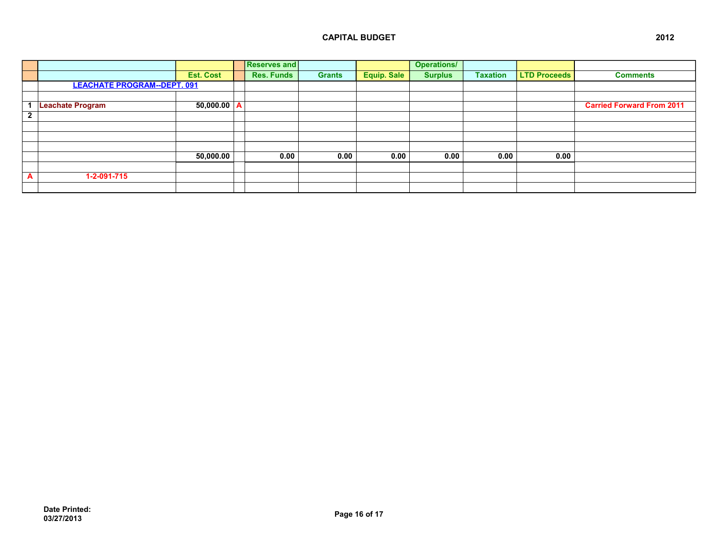|              |                                    |                  | <b>Reserves and</b> |               |                    | <b>Operations/</b> |                 |                     |                                  |
|--------------|------------------------------------|------------------|---------------------|---------------|--------------------|--------------------|-----------------|---------------------|----------------------------------|
|              |                                    | <b>Est. Cost</b> | <b>Res. Funds</b>   | <b>Grants</b> | <b>Equip. Sale</b> | <b>Surplus</b>     | <b>Taxation</b> | <b>LTD Proceeds</b> | <b>Comments</b>                  |
|              | <b>LEACHATE PROGRAM--DEPT. 091</b> |                  |                     |               |                    |                    |                 |                     |                                  |
|              |                                    |                  |                     |               |                    |                    |                 |                     |                                  |
| 1            | Leachate Program                   | 50,000.00  A     |                     |               |                    |                    |                 |                     | <b>Carried Forward From 2011</b> |
| $\mathbf{2}$ |                                    |                  |                     |               |                    |                    |                 |                     |                                  |
|              |                                    |                  |                     |               |                    |                    |                 |                     |                                  |
|              |                                    |                  |                     |               |                    |                    |                 |                     |                                  |
|              |                                    |                  |                     |               |                    |                    |                 |                     |                                  |
|              |                                    | 50,000.00        | 0.00                | 0.00          | 0.00               | 0.00               | 0.00            | 0.00                |                                  |
|              |                                    |                  |                     |               |                    |                    |                 |                     |                                  |
| A            | 1-2-091-715                        |                  |                     |               |                    |                    |                 |                     |                                  |
|              |                                    |                  |                     |               |                    |                    |                 |                     |                                  |